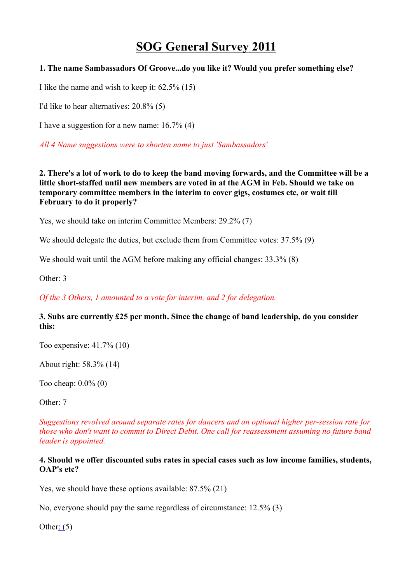# **SOG General Survey 2011**

# **1. The name Sambassadors Of Groove...do you like it? Would you prefer something else?**

I like the name and wish to keep it: 62.5% (15)

I'd like to hear alternatives: 20.8% (5)

I have a suggestion for a new name: 16.7% (4)

*All 4 Name suggestions were to shorten name to just 'Sambassadors'*

## **2. There's a lot of work to do to keep the band moving forwards, and the Committee will be a little short-staffed until new members are voted in at the AGM in Feb. Should we take on temporary committee members in the interim to cover gigs, costumes etc, or wait till February to do it properly?**

Yes, we should take on interim Committee Members: 29.2% (7)

We should delegate the duties, but exclude them from Committee votes:  $37.5\%$  (9)

We should wait until the AGM before making any official changes:  $33.3\%$  (8)

Other: 3

*Of the 3 Others, 1 amounted to a vote for interim, and 2 for delegation.*

# **3. Subs are currently £25 per month. Since the change of band leadership, do you consider this:**

Too expensive: 41.7% (10)

About right: 58.3% (14)

Too cheap: 0.0% (0)

Other: 7

*Suggestions revolved around separate rates for dancers and an optional higher per-session rate for those who don't want to commit to Direct Debit. One call for reassessment assuming no future band leader is appointed.*

#### **4. Should we offer discounted subs rates in special cases such as low income families, students, OAP's etc?**

Yes, we should have these options available: 87.5% (21)

No, everyone should pay the same regardless of circumstance: 12.5% (3)

Other:  $(5)$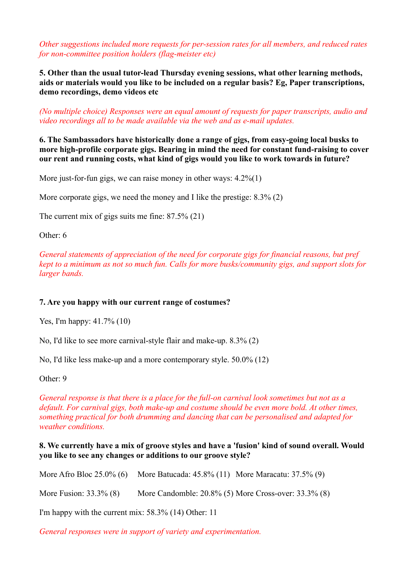*Other suggestions included more requests for per-session rates for all members, and reduced rates for non-committee position holders (flag-meister etc)*

**5. Other than the usual tutor-lead Thursday evening sessions, what other learning methods, aids or materials would you like to be included on a regular basis? Eg, Paper transcriptions, demo recordings, demo videos etc**

*(No multiple choice) Responses were an equal amount of requests for paper transcripts, audio and video recordings all to be made available via the web and as e-mail updates.*

**6. The Sambassadors have historically done a range of gigs, from easy-going local busks to more high-profile corporate gigs. Bearing in mind the need for constant fund-raising to cover our rent and running costs, what kind of gigs would you like to work towards in future?**

More just-for-fun gigs, we can raise money in other ways:  $4.2\%(1)$ 

More corporate gigs, we need the money and I like the prestige: 8.3% (2)

The current mix of gigs suits me fine: 87.5% (21)

Other: 6

*General statements of appreciation of the need for corporate gigs for financial reasons, but pref kept to a minimum as not so much fun. Calls for more busks/community gigs, and support slots for larger bands.*

## **7. Are you happy with our current range of costumes?**

Yes, I'm happy: 41.7% (10)

No, I'd like to see more carnival-style flair and make-up. 8.3% (2)

No, I'd like less make-up and a more contemporary style. 50.0% (12)

Other: 9

*General response is that there is a place for the full-on carnival look sometimes but not as a default. For carnival gigs, both make-up and costume should be even more bold. At other times, something practical for both drumming and dancing that can be personalised and adapted for weather conditions.*

#### **8. We currently have a mix of groove styles and have a 'fusion' kind of sound overall. Would you like to see any changes or additions to our groove style?**

More Afro Bloc 25.0% (6) More Batucada: 45.8% (11) More Maracatu: 37.5% (9) More Fusion: 33.3% (8) More Candomble: 20.8% (5) More Cross-over: 33.3% (8) I'm happy with the current mix: 58.3% (14) Other: 11

*General responses were in support of variety and experimentation.*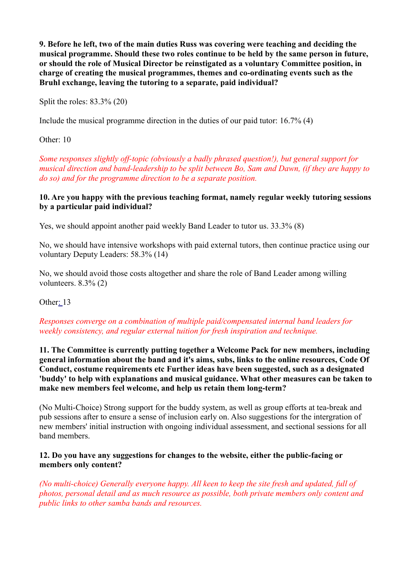**9. Before he left, two of the main duties Russ was covering were teaching and deciding the musical programme. Should these two roles continue to be held by the same person in future, or should the role of Musical Director be reinstigated as a voluntary Committee position, in charge of creating the musical programmes, themes and co-ordinating events such as the Bruhl exchange, leaving the tutoring to a separate, paid individual?**

Split the roles: 83.3% (20)

Include the musical programme direction in the duties of our paid tutor: 16.7% (4)

Other: 10

*Some responses slightly off-topic (obviously a badly phrased question!), but general support for musical direction and band-leadership to be split between Bo, Sam and Dawn, (if they are happy to do so) and for the programme direction to be a separate position.*

#### **10. Are you happy with the previous teaching format, namely regular weekly tutoring sessions by a particular paid individual?**

Yes, we should appoint another paid weekly Band Leader to tutor us. 33.3% (8)

No, we should have intensive workshops with paid external tutors, then continue practice using our voluntary Deputy Leaders: 58.3% (14)

No, we should avoid those costs altogether and share the role of Band Leader among willing volunteers.  $8.3\%$  (2)

Othe[r: 1](https://www.surveymonkey.com/MySurvey_Responses.aspx?sm=C3stEVjeoxk%2BHHeyaeqmkEHqBWyXbAN28ZaWiTLXgqk%3D#)3

## *Responses converge on a combination of multiple paid/compensated internal band leaders for weekly consistency, and regular external tuition for fresh inspiration and technique.*

**11. The Committee is currently putting together a Welcome Pack for new members, including general information about the band and it's aims, subs, links to the online resources, Code Of Conduct, costume requirements etc Further ideas have been suggested, such as a designated 'buddy' to help with explanations and musical guidance. What other measures can be taken to make new members feel welcome, and help us retain them long-term?**

(No Multi-Choice) Strong support for the buddy system, as well as group efforts at tea-break and pub sessions after to ensure a sense of inclusion early on. Also suggestions for the intergration of new members' initial instruction with ongoing individual assessment, and sectional sessions for all band members.

#### **12. Do you have any suggestions for changes to the website, either the public-facing or members only content?**

*(No multi-choice) Generally everyone happy. All keen to keep the site fresh and updated, full of photos, personal detail and as much resource as possible, both private members only content and public links to other samba bands and resources.*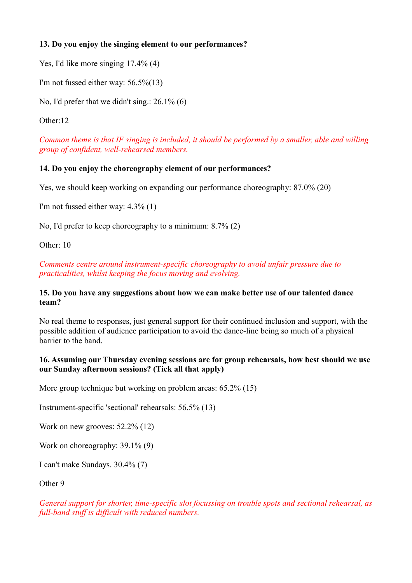# **13. Do you enjoy the singing element to our performances?**

Yes, I'd like more singing 17.4% (4)

I'm not fussed either way: 56.5%(13)

No, I'd prefer that we didn't sing.: 26.1% (6)

Other:12

*Common theme is that IF singing is included, it should be performed by a smaller, able and willing group of confident, well-rehearsed members.*

# **14. Do you enjoy the choreography element of our performances?**

Yes, we should keep working on expanding our performance choreography: 87.0% (20)

I'm not fussed either way: 4.3% (1)

No, I'd prefer to keep choreography to a minimum: 8.7% (2)

Other: 10

*Comments centre around instrument-specific choreography to avoid unfair pressure due to practicalities, whilst keeping the focus moving and evolving.*

#### **15. Do you have any suggestions about how we can make better use of our talented dance team?**

No real theme to responses, just general support for their continued inclusion and support, with the possible addition of audience participation to avoid the dance-line being so much of a physical barrier to the band.

## **16. Assuming our Thursday evening sessions are for group rehearsals, how best should we use our Sunday afternoon sessions? (Tick all that apply)**

More group technique but working on problem areas: 65.2% (15)

Instrument-specific 'sectional' rehearsals: 56.5% (13)

Work on new grooves: 52.2% (12)

Work on choreography: 39.1% (9)

I can't make Sundays. 30.4% (7)

Other 9

*General support for shorter, time-specific slot focussing on trouble spots and sectional rehearsal, as full-band stuff is difficult with reduced numbers.*